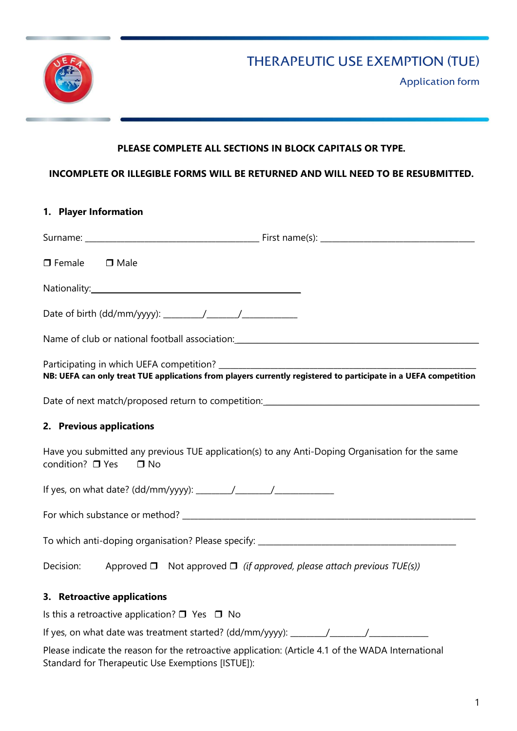

Application form

## PLEASE COMPLETE ALL SECTIONS IN BLOCK CAPITALS OR TYPE.

### INCOMPLETE OR ILLEGIBLE FORMS WILL BE RETURNED AND WILL NEED TO BE RESUBMITTED.

### 1. Player Information

| $\Box$ Female<br>$\Box$ Male                                                                                                     |                                                                                  |  |  |  |
|----------------------------------------------------------------------------------------------------------------------------------|----------------------------------------------------------------------------------|--|--|--|
|                                                                                                                                  |                                                                                  |  |  |  |
|                                                                                                                                  |                                                                                  |  |  |  |
| Name of club or national football association: __________________________________                                                |                                                                                  |  |  |  |
| NB: UEFA can only treat TUE applications from players currently registered to participate in a UEFA competition                  |                                                                                  |  |  |  |
|                                                                                                                                  |                                                                                  |  |  |  |
| 2. Previous applications                                                                                                         |                                                                                  |  |  |  |
| Have you submitted any previous TUE application(s) to any Anti-Doping Organisation for the same<br>condition? □ Yes<br>$\Box$ No |                                                                                  |  |  |  |
|                                                                                                                                  |                                                                                  |  |  |  |
|                                                                                                                                  |                                                                                  |  |  |  |
|                                                                                                                                  |                                                                                  |  |  |  |
| Decision:                                                                                                                        | Approved $\Box$ Not approved $\Box$ (if approved, please attach previous TUE(s)) |  |  |  |
| 3. Retroactive applications                                                                                                      |                                                                                  |  |  |  |
| Is this a retroactive application? $\Box$ Yes $\Box$ No                                                                          |                                                                                  |  |  |  |

If yes, on what date was treatment started? (dd/mm/yyyy): \_\_\_\_\_\_\_\_\_\_\_\_\_\_\_\_\_\_\_\_\_\_\_

Please indicate the reason for the retroactive application: (Article 4.1 of the WADA International Standard for Therapeutic Use Exemptions [ISTUE]):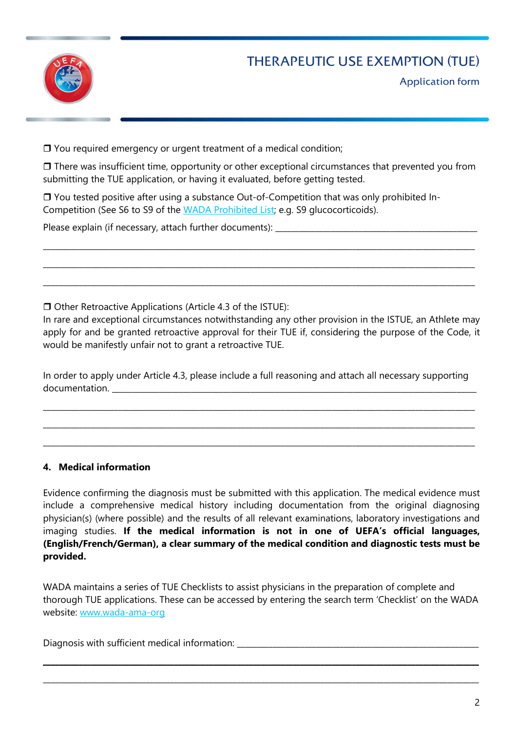

Application form

□ You required emergency or urgent treatment of a medical condition;

 $\Box$  There was insufficient time, opportunity or other exceptional circumstances that prevented you from submitting the TUE application, or having it evaluated, before getting tested.

\_\_\_\_\_\_\_\_\_\_\_\_\_\_\_\_\_\_\_\_\_\_\_\_\_\_\_\_\_\_\_\_\_\_\_\_\_\_\_\_\_\_\_\_\_\_\_\_\_\_\_\_\_\_\_\_\_\_\_\_\_\_\_\_\_\_\_\_\_\_\_\_\_\_\_\_\_\_\_\_\_\_\_\_\_\_\_\_\_\_\_\_\_\_\_\_\_\_\_\_\_\_\_\_\_\_\_\_\_

\_\_\_\_\_\_\_\_\_\_\_\_\_\_\_\_\_\_\_\_\_\_\_\_\_\_\_\_\_\_\_\_\_\_\_\_\_\_\_\_\_\_\_\_\_\_\_\_\_\_\_\_\_\_\_\_\_\_\_\_\_\_\_\_\_\_\_\_\_\_\_\_\_\_\_\_\_\_\_\_\_\_\_\_\_\_\_\_\_\_\_\_\_\_\_\_\_\_\_\_\_\_\_\_\_\_\_\_\_

\_\_\_\_\_\_\_\_\_\_\_\_\_\_\_\_\_\_\_\_\_\_\_\_\_\_\_\_\_\_\_\_\_\_\_\_\_\_\_\_\_\_\_\_\_\_\_\_\_\_\_\_\_\_\_\_\_\_\_\_\_\_\_\_\_\_\_\_\_\_\_\_\_\_\_\_\_\_\_\_\_\_\_\_\_\_\_\_\_\_\_\_\_\_\_\_\_\_\_\_\_\_\_\_\_\_\_\_\_

□ You tested positive after using a substance Out-of-Competition that was only prohibited In-Competition (See S6 to S9 of the WADA Prohibited List; e.g. S9 glucocorticoids).

Please explain (if necessary, attach further documents): \_\_\_\_\_\_\_\_\_\_\_\_\_\_\_\_\_\_\_\_\_\_\_

 $\Box$  Other Retroactive Applications (Article 4.3 of the ISTUE):

In rare and exceptional circumstances notwithstanding any other provision in the ISTUE, an Athlete may apply for and be granted retroactive approval for their TUE if, considering the purpose of the Code, it would be manifestly unfair not to grant a retroactive TUE.

In order to apply under Article 4.3, please include a full reasoning and attach all necessary supporting documentation. \_\_\_\_\_\_\_\_\_\_\_\_\_\_\_\_\_\_\_\_\_\_\_\_\_\_\_\_\_\_\_\_\_\_\_\_\_\_\_\_\_\_\_\_\_\_\_\_\_\_\_\_\_\_\_\_\_\_\_\_\_\_\_\_\_\_\_\_\_\_\_\_\_\_\_\_\_\_\_\_\_\_\_\_\_\_\_\_\_\_\_\_

\_\_\_\_\_\_\_\_\_\_\_\_\_\_\_\_\_\_\_\_\_\_\_\_\_\_\_\_\_\_\_\_\_\_\_\_\_\_\_\_\_\_\_\_\_\_\_\_\_\_\_\_\_\_\_\_\_\_\_\_\_\_\_\_\_\_\_\_\_\_\_\_\_\_\_\_\_\_\_\_\_\_\_\_\_\_\_\_\_\_\_\_\_\_\_\_\_\_\_\_\_\_\_\_\_\_\_\_\_

\_\_\_\_\_\_\_\_\_\_\_\_\_\_\_\_\_\_\_\_\_\_\_\_\_\_\_\_\_\_\_\_\_\_\_\_\_\_\_\_\_\_\_\_\_\_\_\_\_\_\_\_\_\_\_\_\_\_\_\_\_\_\_\_\_\_\_\_\_\_\_\_\_\_\_\_\_\_\_\_\_\_\_\_\_\_\_\_\_\_\_\_\_\_\_\_\_\_\_\_\_\_\_\_\_\_\_\_\_

\_\_\_\_\_\_\_\_\_\_\_\_\_\_\_\_\_\_\_\_\_\_\_\_\_\_\_\_\_\_\_\_\_\_\_\_\_\_\_\_\_\_\_\_\_\_\_\_\_\_\_\_\_\_\_\_\_\_\_\_\_\_\_\_\_\_\_\_\_\_\_\_\_\_\_\_\_\_\_\_\_\_\_\_\_\_\_\_\_\_\_\_\_\_\_\_\_\_\_\_\_\_\_\_\_\_\_\_\_

### 4. Medical information

Evidence confirming the diagnosis must be submitted with this application. The medical evidence must include a comprehensive medical history including documentation from the original diagnosing physician(s) (where possible) and the results of all relevant examinations, laboratory investigations and imaging studies. If the medical information is not in one of UEFA's official languages, (English/French/German), a clear summary of the medical condition and diagnostic tests must be provided.

WADA maintains a series of TUE Checklists to assist physicians in the preparation of complete and thorough TUE applications. These can be accessed by entering the search term 'Checklist' on the WADA website: www.wada-ama-org

\_\_\_\_\_\_\_\_\_\_\_\_\_\_\_\_\_\_\_\_\_\_\_\_\_\_\_\_\_\_\_\_\_\_\_\_\_\_\_\_\_\_\_\_\_\_\_\_\_\_\_\_\_\_\_\_\_\_\_\_\_\_\_\_\_\_\_\_\_\_\_\_\_\_\_\_\_\_\_\_\_\_\_\_\_\_\_\_\_\_\_\_\_\_\_\_\_\_\_\_\_\_\_\_\_\_\_\_\_\_

\_\_\_\_\_\_\_\_\_\_\_\_\_\_\_\_\_\_\_\_\_\_\_\_\_\_\_\_\_\_\_\_\_\_\_\_\_\_\_\_\_\_\_\_\_\_\_\_\_\_\_\_\_\_\_\_\_\_\_\_\_\_\_\_\_\_\_\_\_\_\_\_\_\_\_\_\_\_\_\_\_\_\_\_\_\_\_\_\_\_\_\_\_\_\_\_\_\_\_\_\_\_\_\_\_\_\_\_\_\_

Diagnosis with sufficient medical information: \_\_\_\_\_\_\_\_\_\_\_\_\_\_\_\_\_\_\_\_\_\_\_\_\_\_\_\_\_\_\_\_\_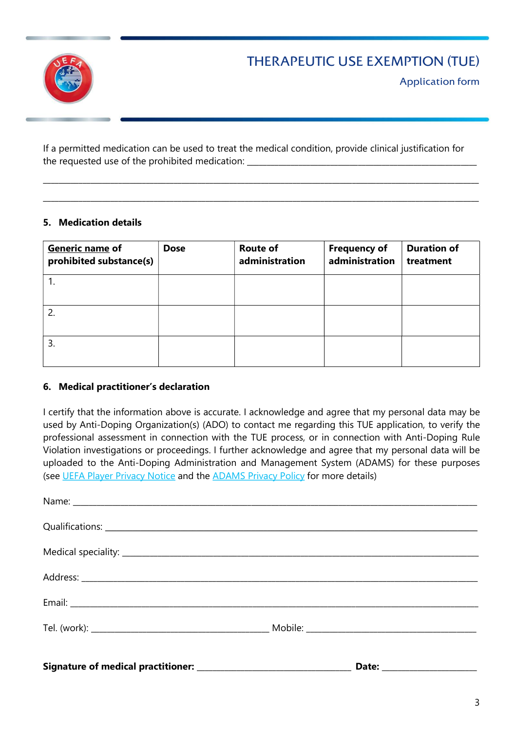

Application form

If a permitted medication can be used to treat the medical condition, provide clinical justification for the requested use of the prohibited medication: \_\_\_\_\_\_\_\_\_\_\_\_\_\_\_\_\_\_\_\_\_\_\_\_\_\_\_\_\_\_\_\_

\_\_\_\_\_\_\_\_\_\_\_\_\_\_\_\_\_\_\_\_\_\_\_\_\_\_\_\_\_\_\_\_\_\_\_\_\_\_\_\_\_\_\_\_\_\_\_\_\_\_\_\_\_\_\_\_\_\_\_\_\_\_\_\_\_\_\_\_\_\_\_\_\_\_\_\_\_\_\_\_\_\_\_\_\_\_\_\_\_\_\_\_\_\_\_\_\_\_\_\_\_\_\_\_\_\_\_\_\_\_

\_\_\_\_\_\_\_\_\_\_\_\_\_\_\_\_\_\_\_\_\_\_\_\_\_\_\_\_\_\_\_\_\_\_\_\_\_\_\_\_\_\_\_\_\_\_\_\_\_\_\_\_\_\_\_\_\_\_\_\_\_\_\_\_\_\_\_\_\_\_\_\_\_\_\_\_\_\_\_\_\_\_\_\_\_\_\_\_\_\_\_\_\_\_\_\_\_\_\_\_\_\_\_\_\_\_\_\_\_\_

## 5. Medication details

| Generic name of<br>prohibited substance(s) | <b>Dose</b> | <b>Route of</b><br>administration | <b>Frequency of</b><br>administration | <b>Duration of</b><br>treatment |
|--------------------------------------------|-------------|-----------------------------------|---------------------------------------|---------------------------------|
|                                            |             |                                   |                                       |                                 |
| 2.                                         |             |                                   |                                       |                                 |
| 3.                                         |             |                                   |                                       |                                 |

### 6. Medical practitioner's declaration

I certify that the information above is accurate. I acknowledge and agree that my personal data may be used by Anti-Doping Organization(s) (ADO) to contact me regarding this TUE application, to verify the professional assessment in connection with the TUE process, or in connection with Anti-Doping Rule Violation investigations or proceedings. I further acknowledge and agree that my personal data will be uploaded to the Anti-Doping Administration and Management System (ADAMS) for these purposes (see UEFA Player Privacy Notice and the ADAMS Privacy Policy for more details)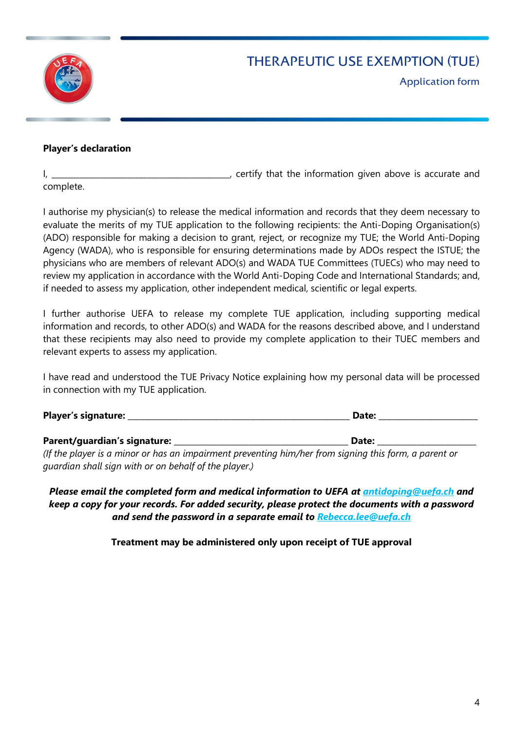

Application form

### Player's declaration

I, the information given above is accurate and I, certify that the information given above is accurate and

complete.

I authorise my physician(s) to release the medical information and records that they deem necessary to evaluate the merits of my TUE application to the following recipients: the Anti-Doping Organisation(s) (ADO) responsible for making a decision to grant, reject, or recognize my TUE; the World Anti-Doping Agency (WADA), who is responsible for ensuring determinations made by ADOs respect the ISTUE; the physicians who are members of relevant ADO(s) and WADA TUE Committees (TUECs) who may need to review my application in accordance with the World Anti-Doping Code and International Standards; and, if needed to assess my application, other independent medical, scientific or legal experts.

I further authorise UEFA to release my complete TUE application, including supporting medical information and records, to other ADO(s) and WADA for the reasons described above, and I understand that these recipients may also need to provide my complete application to their TUEC members and relevant experts to assess my application.

I have read and understood the TUE Privacy Notice explaining how my personal data will be processed in connection with my TUE application.

| <b>Player's signature:</b> | ¬-+-∙<br>- і іат |
|----------------------------|------------------|
|                            |                  |

Parent/guardian's signature: \_\_\_\_\_\_\_\_\_\_\_\_\_\_\_\_\_\_\_\_\_\_\_\_\_\_\_\_\_\_\_\_\_\_\_\_\_\_\_\_\_\_\_\_ Date: \_\_\_\_\_\_\_\_\_\_\_\_\_\_\_\_\_\_\_\_\_\_\_\_\_

(If the player is a minor or has an impairment preventing him/her from signing this form, a parent or guardian shall sign with or on behalf of the player.)

Please email the completed form and medical information to UEFA at antidoping@uefa.ch and keep a copy for your records. For added security, please protect the documents with a password and send the password in a separate email to Rebecca.lee@uefa.ch

Treatment may be administered only upon receipt of TUE approval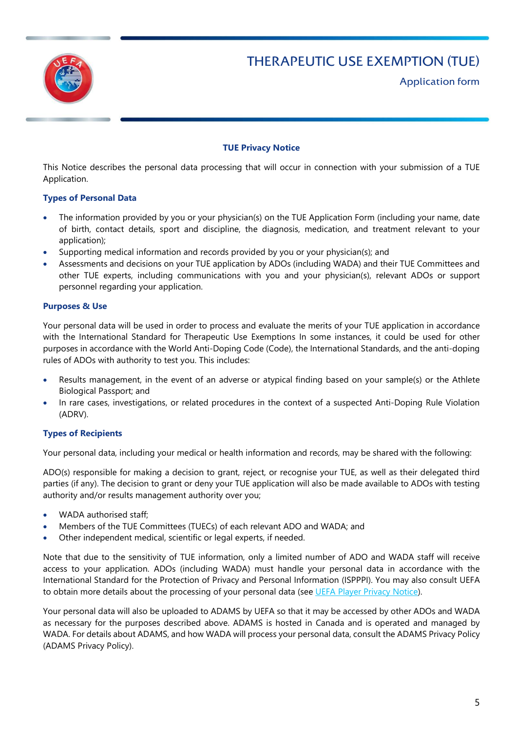

Application form

#### TUE Privacy Notice

This Notice describes the personal data processing that will occur in connection with your submission of a TUE Application.

#### Types of Personal Data

- The information provided by you or your physician(s) on the TUE Application Form (including your name, date of birth, contact details, sport and discipline, the diagnosis, medication, and treatment relevant to your application);
- Supporting medical information and records provided by you or your physician(s); and
- Assessments and decisions on your TUE application by ADOs (including WADA) and their TUE Committees and other TUE experts, including communications with you and your physician(s), relevant ADOs or support personnel regarding your application.

#### Purposes & Use

Your personal data will be used in order to process and evaluate the merits of your TUE application in accordance with the International Standard for Therapeutic Use Exemptions In some instances, it could be used for other purposes in accordance with the World Anti-Doping Code (Code), the International Standards, and the anti-doping rules of ADOs with authority to test you. This includes:

- Results management, in the event of an adverse or atypical finding based on your sample(s) or the Athlete Biological Passport; and
- In rare cases, investigations, or related procedures in the context of a suspected Anti-Doping Rule Violation (ADRV).

#### Types of Recipients

Your personal data, including your medical or health information and records, may be shared with the following:

ADO(s) responsible for making a decision to grant, reject, or recognise your TUE, as well as their delegated third parties (if any). The decision to grant or deny your TUE application will also be made available to ADOs with testing authority and/or results management authority over you;

- WADA authorised staff;
- Members of the TUE Committees (TUECs) of each relevant ADO and WADA; and
- Other independent medical, scientific or legal experts, if needed.

Note that due to the sensitivity of TUE information, only a limited number of ADO and WADA staff will receive access to your application. ADOs (including WADA) must handle your personal data in accordance with the International Standard for the Protection of Privacy and Personal Information (ISPPPI). You may also consult UEFA to obtain more details about the processing of your personal data (see UEFA Player Privacy Notice).

Your personal data will also be uploaded to ADAMS by UEFA so that it may be accessed by other ADOs and WADA as necessary for the purposes described above. ADAMS is hosted in Canada and is operated and managed by WADA. For details about ADAMS, and how WADA will process your personal data, consult the ADAMS Privacy Policy (ADAMS Privacy Policy).